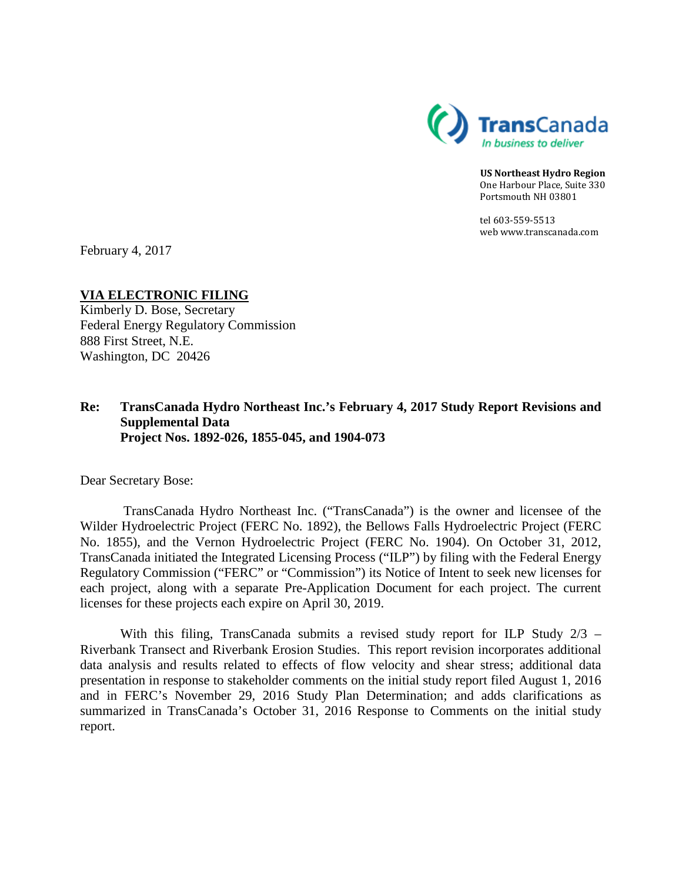

**US Northeast Hydro Region** One Harbour Place, Suite 330 Portsmouth NH 03801

tel 603-559-5513 web www.transcanada.com

February 4, 2017

## **VIA ELECTRONIC FILING**

Kimberly D. Bose, Secretary Federal Energy Regulatory Commission 888 First Street, N.E. Washington, DC 20426

## **Re: TransCanada Hydro Northeast Inc.'s February 4, 2017 Study Report Revisions and Supplemental Data Project Nos. 1892-026, 1855-045, and 1904-073**

Dear Secretary Bose:

TransCanada Hydro Northeast Inc. ("TransCanada") is the owner and licensee of the Wilder Hydroelectric Project (FERC No. 1892), the Bellows Falls Hydroelectric Project (FERC No. 1855), and the Vernon Hydroelectric Project (FERC No. 1904). On October 31, 2012, TransCanada initiated the Integrated Licensing Process ("ILP") by filing with the Federal Energy Regulatory Commission ("FERC" or "Commission") its Notice of Intent to seek new licenses for each project, along with a separate Pre-Application Document for each project. The current licenses for these projects each expire on April 30, 2019.

With this filing, TransCanada submits a revised study report for ILP Study  $2/3$  – Riverbank Transect and Riverbank Erosion Studies. This report revision incorporates additional data analysis and results related to effects of flow velocity and shear stress; additional data presentation in response to stakeholder comments on the initial study report filed August 1, 2016 and in FERC's November 29, 2016 Study Plan Determination; and adds clarifications as summarized in TransCanada's October 31, 2016 Response to Comments on the initial study report.